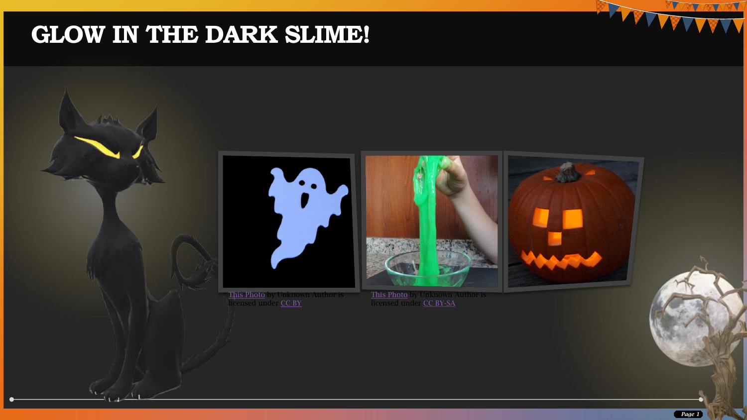### **GLOW IN THE DARK SLIME!**



[This Photo](https://creepyhalloweenimages.com/free_halloween_photos/ghosts/slides/ghost_DSC2509.htm) by Unknown Author is licensed under <u>[CC BY](https://creativecommons.org/licenses/by/3.0/)</u>

[This Photo](http://commons.wikimedia.org/wiki/File:Slime_02471_Nevit.jpg) by Unknown Author is licensed under [CC BY-SA](https://creativecommons.org/licenses/by-sa/3.0/)

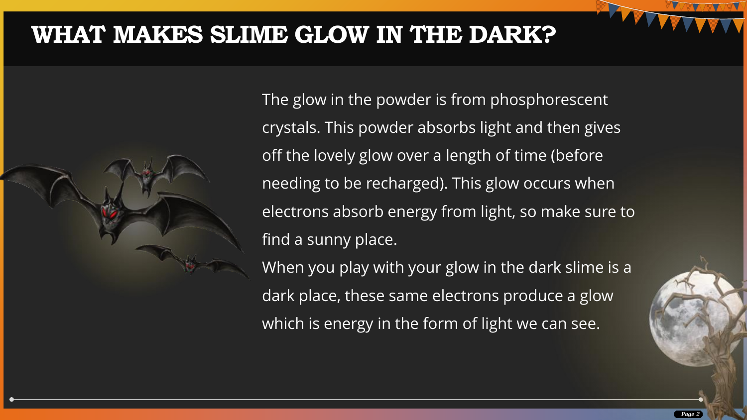#### **WHAT MAKES SLIME GLOW IN THE DARK?**



The glow in the powder is from phosphorescent crystals. This powder absorbs light and then gives off the lovely glow over a length of time (before needing to be recharged). This glow occurs when electrons absorb energy from light, so make sure to find a sunny place.

When you play with your glow in the dark slime is a dark place, these same electrons produce a glow which is energy in the form of light we can see.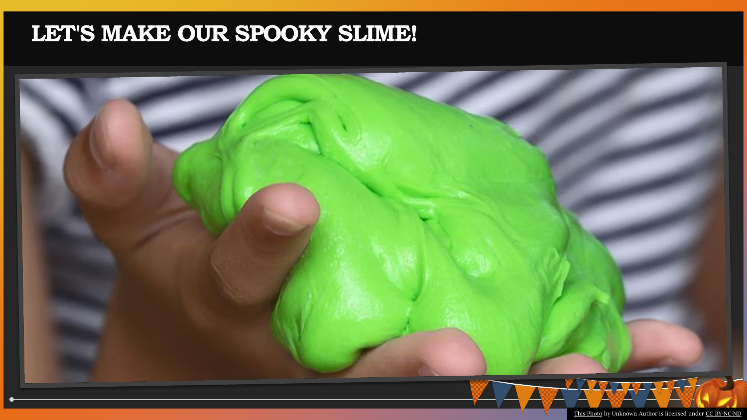### **LET'S MAKE OUR SPOOKY SLIME!**

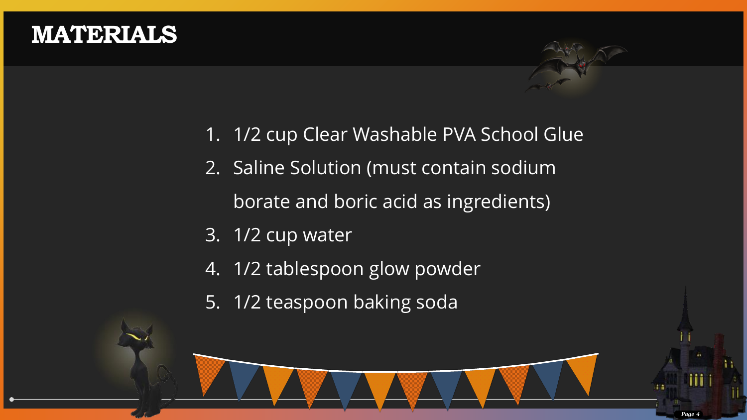#### **MATERIALS**

- 1. 1/2 cup Clear Washable PVA School Glue
- 2. Saline Solution (must contain sodium

borate and boric acid as ingredients)

- 3. 1/2 cup water
- 4. 1/2 tablespoon glow powder
- 5. 1/2 teaspoon baking soda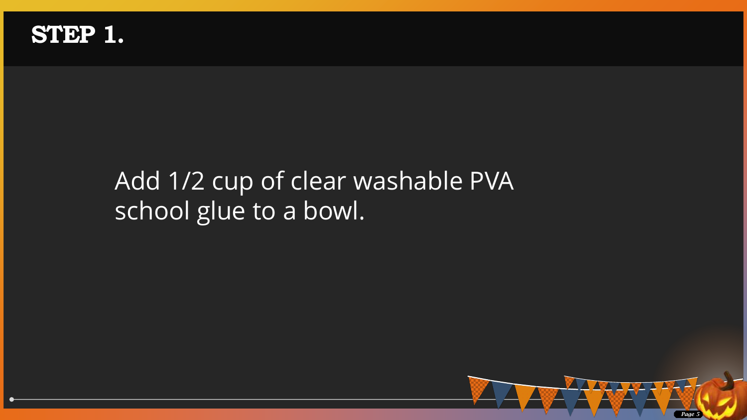

## Add 1/2 cup of clear washable PVA school glue to a bowl.

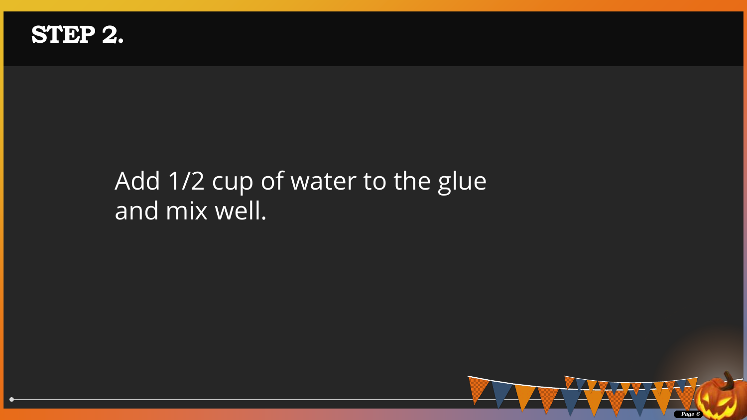

# Add 1/2 cup of water to the glue and mix well.

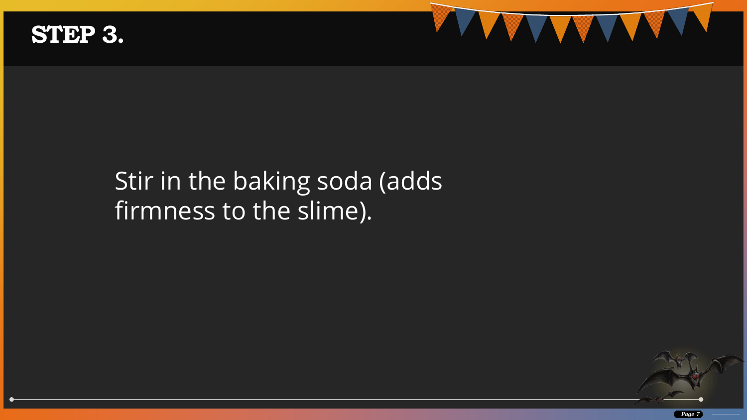#### **STEP 3.**

## Stir in the baking soda (adds firmness to the slime).

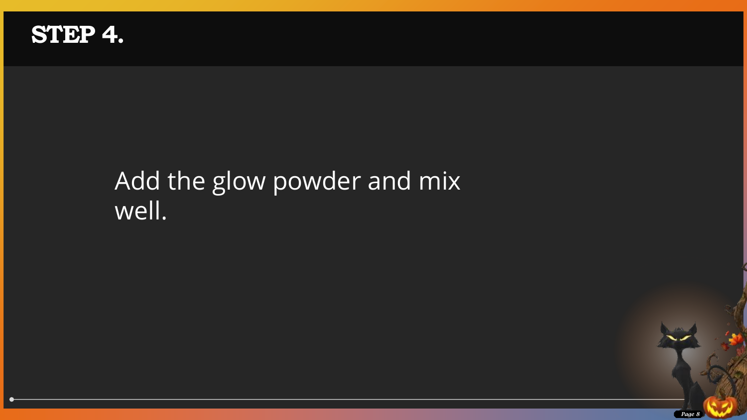

# Add the glow powder and mix well.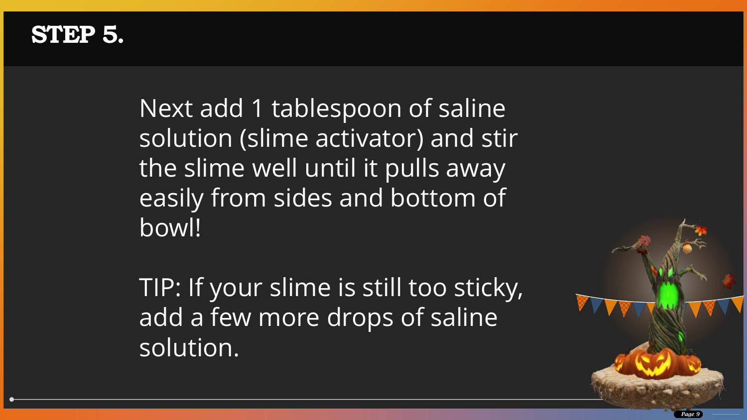#### **STEP 5.**

Next add 1 tablespoon of saline solution (slime activator) and stir the slime well until it pulls away easily from sides and bottom of bowl!

TIP: If your slime is still too sticky, add a few more drops of saline solution.